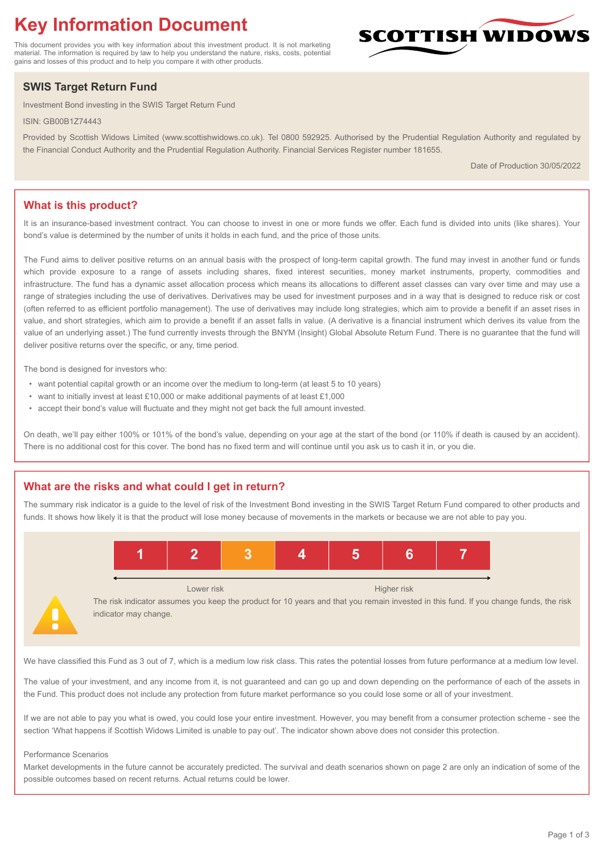# **Key Information Document**

This document provides you with key information about this investment product. It is not marketing material. The information is required by law to help you understand the nature, risks, costs, potential gains and losses of this product and to help you compare it with other products.

## **SWIS Target Return Fund**

Investment Bond investing in the SWIS Target Return Fund

ISIN: GB00B1Z74443

Provided by Scottish Widows Limited (www.scottishwidows.co.uk). Tel 0800 592925. Authorised by the Prudential Regulation Authority and regulated by the Financial Conduct Authority and the Prudential Regulation Authority. Financial Services Register number 181655.

Date of Production 30/05/2022

## **What is this product?**

It is an insurance-based investment contract. You can choose to invest in one or more funds we offer. Each fund is divided into units (like shares). Your bond's value is determined by the number of units it holds in each fund, and the price of those units.

The Fund aims to deliver positive returns on an annual basis with the prospect of long-term capital growth. The fund may invest in another fund or funds which provide exposure to a range of assets including shares, fixed interest securities, money market instruments, property, commodities and infrastructure. The fund has a dynamic asset allocation process which means its allocations to different asset classes can vary over time and may use a range of strategies including the use of derivatives. Derivatives may be used for investment purposes and in a way that is designed to reduce risk or cost (often referred to as efficient portfolio management). The use of derivatives may include long strategies, which aim to provide a benefit if an asset rises in value, and short strategies, which aim to provide a benefit if an asset falls in value. (A derivative is a financial instrument which derives its value from the value of an underlying asset.) The fund currently invests through the BNYM (Insight) Global Absolute Return Fund. There is no guarantee that the fund will deliver positive returns over the specific, or any, time period.

The bond is designed for investors who:

- want potential capital growth or an income over the medium to long-term (at least 5 to 10 years)
- want to initially invest at least £10,000 or make additional payments of at least £1,000
- accept their bond's value will fluctuate and they might not get back the full amount invested.

On death, we'll pay either 100% or 101% of the bond's value, depending on your age at the start of the bond (or 110% if death is caused by an accident). There is no additional cost for this cover. The bond has no fixed term and will continue until you ask us to cash it in, or you die.

## **What are the risks and what could I get in return?**

The summary risk indicator is a guide to the level of risk of the Investment Bond investing in the SWIS Target Return Fund compared to other products and funds. It shows how likely it is that the product will lose money because of movements in the markets or because we are not able to pay you.



The risk indicator assumes you keep the product for 10 years and that you remain invested in this fund. If you change funds, the risk indicator may change.

We have classified this Fund as 3 out of 7, which is a medium low risk class. This rates the potential losses from future performance at a medium low level.

The value of your investment, and any income from it, is not guaranteed and can go up and down depending on the performance of each of the assets in the Fund. This product does not include any protection from future market performance so you could lose some or all of your investment.

If we are not able to pay you what is owed, you could lose your entire investment. However, you may benefit from a consumer protection scheme - see the section 'What happens if Scottish Widows Limited is unable to pay out'. The indicator shown above does not consider this protection.

#### Performance Scenarios

Market developments in the future cannot be accurately predicted. The survival and death scenarios shown on page 2 are only an indication of some of the possible outcomes based on recent returns. Actual returns could be lower.

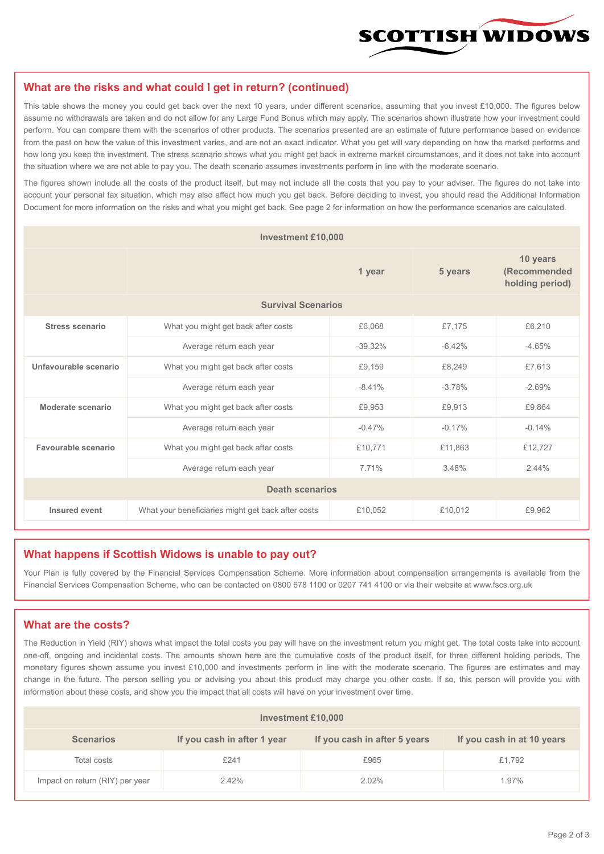

### **What are the risks and what could I get in return? (continued)**

This table shows the money you could get back over the next 10 years, under different scenarios, assuming that you invest £10,000. The figures below assume no withdrawals are taken and do not allow for any Large Fund Bonus which may apply. The scenarios shown illustrate how your investment could perform. You can compare them with the scenarios of other products. The scenarios presented are an estimate of future performance based on evidence from the past on how the value of this investment varies, and are not an exact indicator. What you get will vary depending on how the market performs and how long you keep the investment. The stress scenario shows what you might get back in extreme market circumstances, and it does not take into account the situation where we are not able to pay you. The death scenario assumes investments perform in line with the moderate scenario.

The figures shown include all the costs of the product itself, but may not include all the costs that you pay to your adviser. The figures do not take into account your personal tax situation, which may also affect how much you get back. Before deciding to invest, you should read the Additional Information Document for more information on the risks and what you might get back. See page 2 for information on how the performance scenarios are calculated.

| <b>Investment £10,000</b> |                                                    |          |          |                                             |  |  |  |
|---------------------------|----------------------------------------------------|----------|----------|---------------------------------------------|--|--|--|
|                           |                                                    | 1 year   | 5 years  | 10 years<br>(Recommended<br>holding period) |  |  |  |
| <b>Survival Scenarios</b> |                                                    |          |          |                                             |  |  |  |
| <b>Stress scenario</b>    | What you might get back after costs<br>£6,068      |          | £7,175   | £6,210                                      |  |  |  |
|                           | Average return each year<br>$-39.32%$              |          | $-6.42%$ | $-4.65%$                                    |  |  |  |
| Unfavourable scenario     | What you might get back after costs<br>£9,159      |          | £8,249   | £7,613                                      |  |  |  |
|                           | Average return each year                           | $-8.41%$ | $-3.78%$ | $-2.69%$                                    |  |  |  |
| Moderate scenario         | What you might get back after costs                | £9,953   | £9,913   | £9,864                                      |  |  |  |
|                           | Average return each year                           | $-0.47%$ | $-0.17%$ | $-0.14%$                                    |  |  |  |
| Favourable scenario       | What you might get back after costs                | £10,771  | £11,863  | £12,727                                     |  |  |  |
|                           | Average return each year<br>7.71%                  |          | 3.48%    | 2.44%                                       |  |  |  |
| <b>Death scenarios</b>    |                                                    |          |          |                                             |  |  |  |
| Insured event             | What your beneficiaries might get back after costs | £10,052  | £10,012  | £9,962                                      |  |  |  |

#### **What happens if Scottish Widows is unable to pay out?**

Your Plan is fully covered by the Financial Services Compensation Scheme. More information about compensation arrangements is available from the Financial Services Compensation Scheme, who can be contacted on 0800 678 1100 or 0207 741 4100 or via their website at www.fscs.org.uk

## **What are the costs?**

The Reduction in Yield (RIY) shows what impact the total costs you pay will have on the investment return you might get. The total costs take into account one-off, ongoing and incidental costs. The amounts shown here are the cumulative costs of the product itself, for three different holding periods. The monetary figures shown assume you invest £10,000 and investments perform in line with the moderate scenario. The figures are estimates and may change in the future. The person selling you or advising you about this product may charge you other costs. If so, this person will provide you with information about these costs, and show you the impact that all costs will have on your investment over time.

| Investment £10,000              |                             |                              |                            |  |  |  |
|---------------------------------|-----------------------------|------------------------------|----------------------------|--|--|--|
| <b>Scenarios</b>                | If you cash in after 1 year | If you cash in after 5 years | If you cash in at 10 years |  |  |  |
| Total costs                     | £241                        | £965                         | £1,792                     |  |  |  |
| Impact on return (RIY) per year | 2.42%                       | $2.02\%$                     | 1.97%                      |  |  |  |